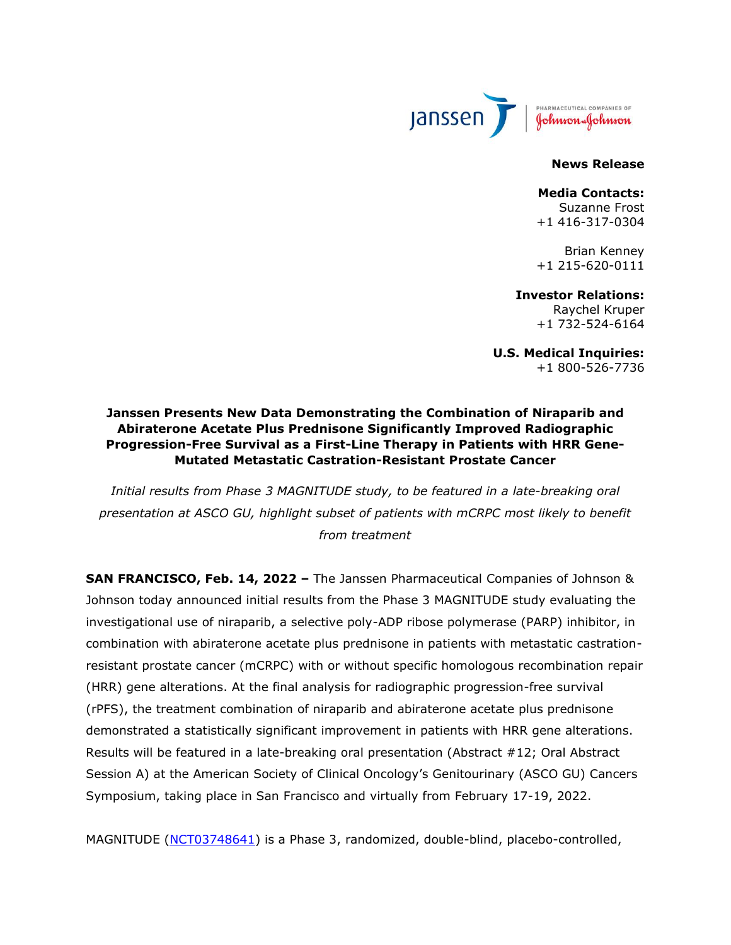

#### **News Release**

#### **Media Contacts:** Suzanne Frost

+1 416-317-0304

Brian Kenney +1 215-620-0111

# **Investor Relations:**

Raychel Kruper +1 732-524-6164

**U.S. Medical Inquiries:** +1 800-526-7736

# **Janssen Presents New Data Demonstrating the Combination of Niraparib and Abiraterone Acetate Plus Prednisone Significantly Improved Radiographic Progression-Free Survival as a First-Line Therapy in Patients with HRR Gene-Mutated Metastatic Castration-Resistant Prostate Cancer**

*Initial results from Phase 3 MAGNITUDE study, to be featured in a late-breaking oral presentation at ASCO GU, highlight subset of patients with mCRPC most likely to benefit from treatment*

**SAN FRANCISCO, Feb. 14, 2022 –** The Janssen Pharmaceutical Companies of Johnson & Johnson today announced initial results from the Phase 3 MAGNITUDE study evaluating the investigational use of niraparib, a selective poly-ADP ribose polymerase (PARP) inhibitor, in combination with abiraterone acetate plus prednisone in patients with metastatic castrationresistant prostate cancer (mCRPC) with or without specific homologous recombination repair (HRR) gene alterations. At the final analysis for radiographic progression-free survival (rPFS), the treatment combination of niraparib and abiraterone acetate plus prednisone demonstrated a statistically significant improvement in patients with HRR gene alterations. Results will be featured in a late-breaking oral presentation (Abstract #12; Oral Abstract Session A) at the American Society of Clinical Oncology's Genitourinary (ASCO GU) Cancers Symposium, taking place in San Francisco and virtually from February 17-19, 2022.

MAGNITUDE [\(NCT03748641\)](https://clinicaltrials.gov/ct2/show/NCT03748641) is a Phase 3, randomized, double-blind, placebo-controlled,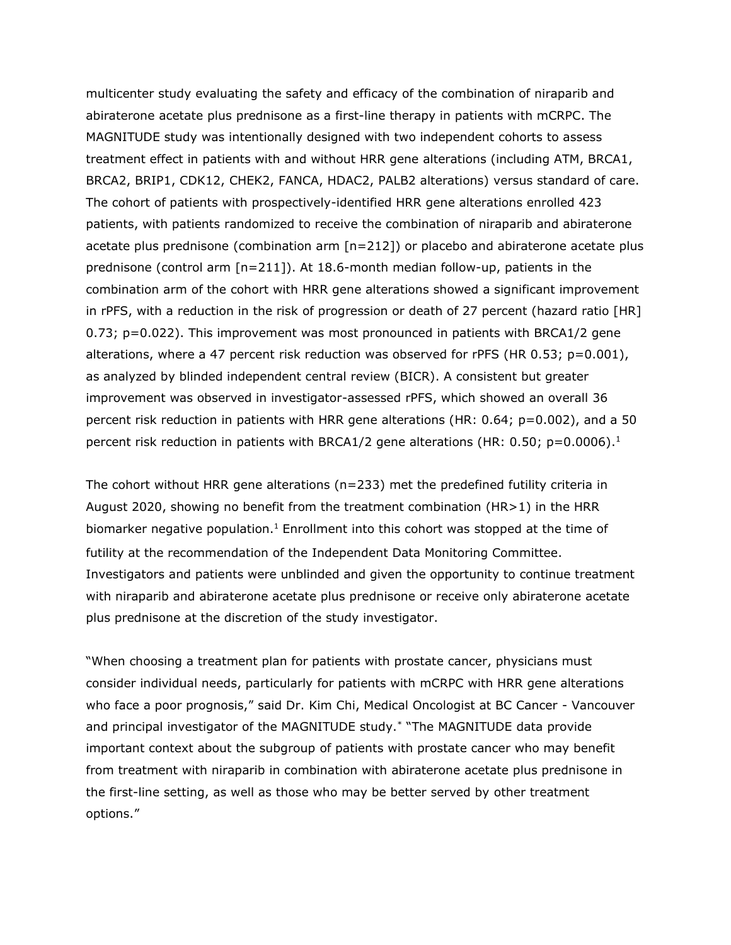multicenter study evaluating the safety and efficacy of the combination of niraparib and abiraterone acetate plus prednisone as a first-line therapy in patients with mCRPC. The MAGNITUDE study was intentionally designed with two independent cohorts to assess treatment effect in patients with and without HRR gene alterations (including ATM, BRCA1, BRCA2, BRIP1, CDK12, CHEK2, FANCA, HDAC2, PALB2 alterations) versus standard of care. The cohort of patients with prospectively-identified HRR gene alterations enrolled 423 patients, with patients randomized to receive the combination of niraparib and abiraterone acetate plus prednisone (combination arm [n=212]) or placebo and abiraterone acetate plus prednisone (control arm [n=211]). At 18.6-month median follow-up, patients in the combination arm of the cohort with HRR gene alterations showed a significant improvement in rPFS, with a reduction in the risk of progression or death of 27 percent (hazard ratio [HR] 0.73; p=0.022). This improvement was most pronounced in patients with BRCA1/2 gene alterations, where a 47 percent risk reduction was observed for rPFS (HR 0.53;  $p=0.001$ ), as analyzed by blinded independent central review (BICR). A consistent but greater improvement was observed in investigator-assessed rPFS, which showed an overall 36 percent risk reduction in patients with HRR gene alterations (HR: 0.64; p=0.002), and a 50 percent risk reduction in patients with BRCA1/2 gene alterations (HR: 0.50;  $p=0.0006$ ).<sup>1</sup>

<span id="page-1-0"></span>The cohort without HRR gene alterations ( $n=233$ ) met the predefined futility criteria in August 2020, showing no benefit from the treatment combination (HR>1) in the HRR biomarker negative population[.](#page-1-0)<sup>1</sup> Enrollment into this cohort was stopped at the time of futility at the recommendation of the Independent Data Monitoring Committee. Investigators and patients were unblinded and given the opportunity to continue treatment with niraparib and abiraterone acetate plus prednisone or receive only abiraterone acetate plus prednisone at the discretion of the study investigator.

"When choosing a treatment plan for patients with prostate cancer, physicians must consider individual needs, particularly for patients with mCRPC with HRR gene alterations who face a poor prognosis," said Dr. Kim Chi, Medical Oncologist at BC Cancer - Vancouver and principal investigator of the MAGNITUDE study.\* "The MAGNITUDE data provide important context about the subgroup of patients with prostate cancer who may benefit from treatment with niraparib in combination with abiraterone acetate plus prednisone in the first-line setting, as well as those who may be better served by other treatment options."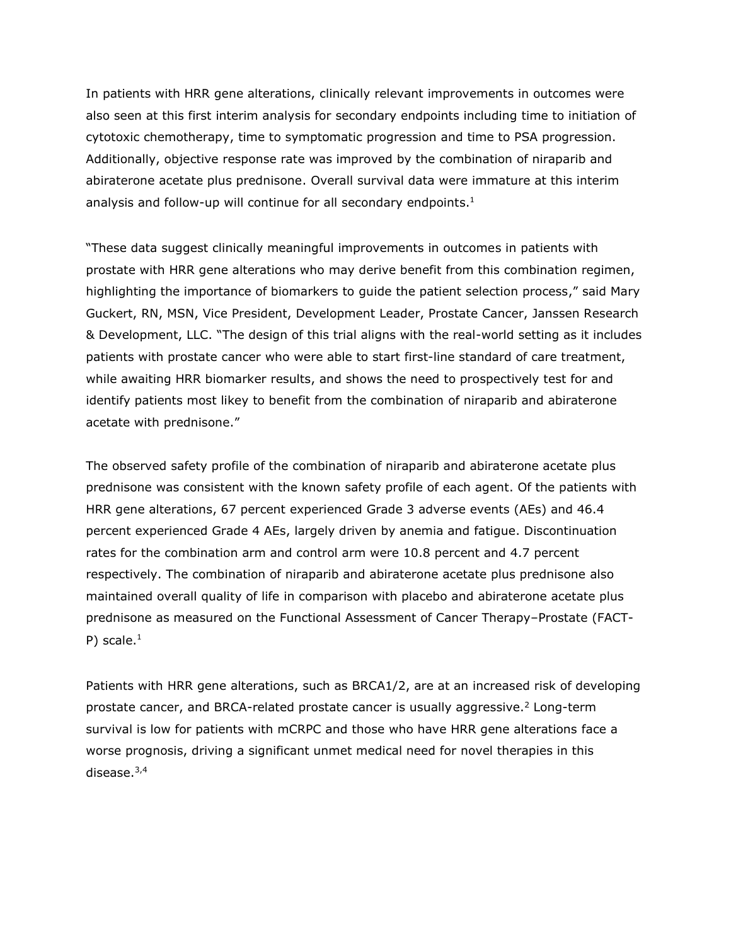In patients with HRR gene alterations, clinically relevant improvements in outcomes were also seen at this first interim analysis for secondary endpoints including time to initiation of cytotoxic chemotherapy, time to symptomatic progression and time to PSA progression. Additionally, objective response rate was improved by the combination of niraparib and abiraterone acetate plus prednisone. Overall survival data were immature at this interim analysis and follow-up will continue for all secondary endpoints.<sup>[1](#page-1-0)</sup>

"These data suggest clinically meaningful improvements in outcomes in patients with prostate with HRR gene alterations who may derive benefit from this combination regimen, highlighting the importance of biomarkers to guide the patient selection process," said Mary Guckert, RN, MSN, Vice President, Development Leader, Prostate Cancer, Janssen Research & Development, LLC. "The design of this trial aligns with the real-world setting as it includes patients with prostate cancer who were able to start first-line standard of care treatment, while awaiting HRR biomarker results, and shows the need to prospectively test for and identify patients most likey to benefit from the combination of niraparib and abiraterone acetate with prednisone."

The observed safety profile of the combination of niraparib and abiraterone acetate plus prednisone was consistent with the known safety profile of each agent. Of the patients with HRR gene alterations, 67 percent experienced Grade 3 adverse events (AEs) and 46.4 percent experienced Grade 4 AEs, largely driven by anemia and fatigue. Discontinuation rates for the combination arm and control arm were 10.8 percent and 4.7 percent respectively. The combination of niraparib and abiraterone acetate plus prednisone also maintained overall quality of life in comparison with placebo and abiraterone acetate plus prednisone as measured on the Functional Assessment of Cancer Therapy–Prostate (FACT-P) scale.<sup>[1](#page-1-0)</sup>

Patients with HRR gene alterations, such as BRCA1/2, are at an increased risk of developing prostate cancer, and BRCA-related prostate cancer is usually aggressive.<sup>2</sup> Long-term survival is low for patients with mCRPC and those who have HRR gene alterations face a worse prognosis, driving a significant unmet medical need for novel therapies in this disease. 3,4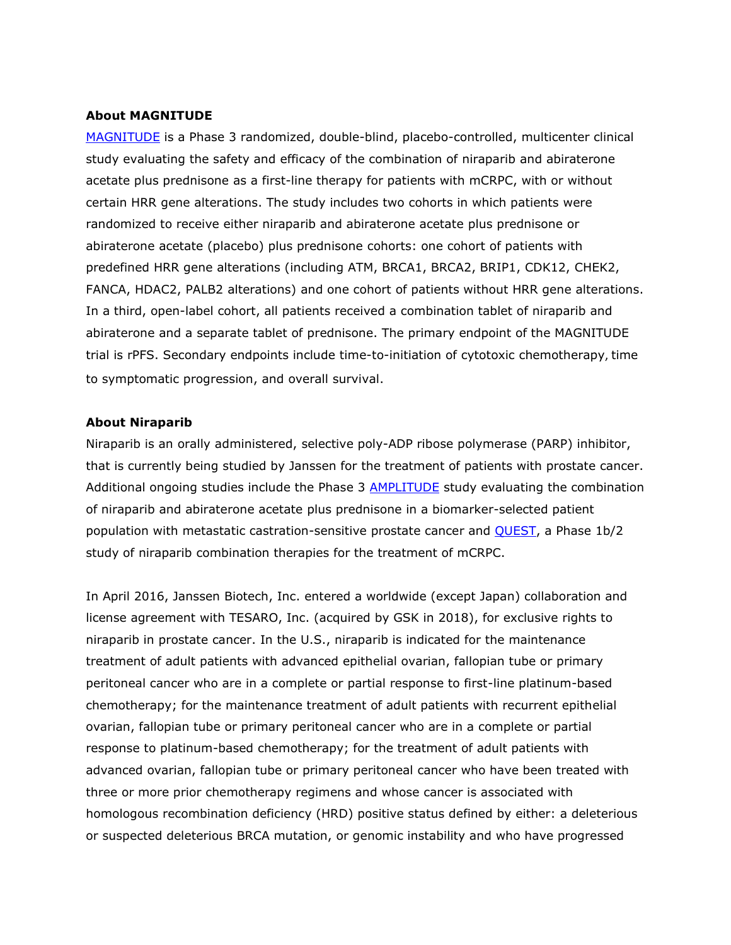#### **About MAGNITUDE**

[MAGNITUDE](https://c212.net/c/link/?t=0&l=en&o=2374476-1&h=335479203&u=https%3A%2F%2Fclinicaltrials.gov%2Fct2%2Fshow%2FNCT03748641&a=MAGNITUDE) is a Phase 3 randomized, double-blind, placebo-controlled, multicenter clinical study evaluating the safety and efficacy of the combination of niraparib and abiraterone acetate plus prednisone as a first-line therapy for patients with mCRPC, with or without certain HRR gene alterations. The study includes two cohorts in which patients were randomized to receive either niraparib and abiraterone acetate plus prednisone or abiraterone acetate (placebo) plus prednisone cohorts: one cohort of patients with predefined HRR gene alterations (including ATM, BRCA1, BRCA2, BRIP1, CDK12, CHEK2, FANCA, HDAC2, PALB2 alterations) and one cohort of patients without HRR gene alterations. In a third, open-label cohort, all patients received a combination tablet of niraparib and abiraterone and a separate tablet of prednisone. The primary endpoint of the MAGNITUDE trial is rPFS. Secondary endpoints include time-to-initiation of cytotoxic chemotherapy, time to symptomatic progression, and overall survival.

#### **About Niraparib**

Niraparib is an orally administered, selective poly-ADP ribose polymerase (PARP) inhibitor, that is currently being studied by Janssen for the treatment of patients with prostate cancer. Additional ongoing studies include the Phase 3 **AMPLITUDE** study evaluating the combination of niraparib and abiraterone acetate plus prednisone in a biomarker-selected patient population with metastatic castration-sensitive prostate cancer and **QUEST**, a Phase 1b/2 study of niraparib combination therapies for the treatment of mCRPC.

In April 2016, Janssen Biotech, Inc. entered a worldwide (except Japan) collaboration and license agreement with TESARO, Inc. (acquired by GSK in 2018), for exclusive rights to niraparib in prostate cancer. In the U.S., niraparib is indicated for the maintenance treatment of adult patients with advanced epithelial ovarian, fallopian tube or primary peritoneal cancer who are in a complete or partial response to first-line platinum-based chemotherapy; for the maintenance treatment of adult patients with recurrent epithelial ovarian, fallopian tube or primary peritoneal cancer who are in a complete or partial response to platinum-based chemotherapy; for the treatment of adult patients with advanced ovarian, fallopian tube or primary peritoneal cancer who have been treated with three or more prior chemotherapy regimens and whose cancer is associated with homologous recombination deficiency (HRD) positive status defined by either: a deleterious or suspected deleterious BRCA mutation, or genomic instability and who have progressed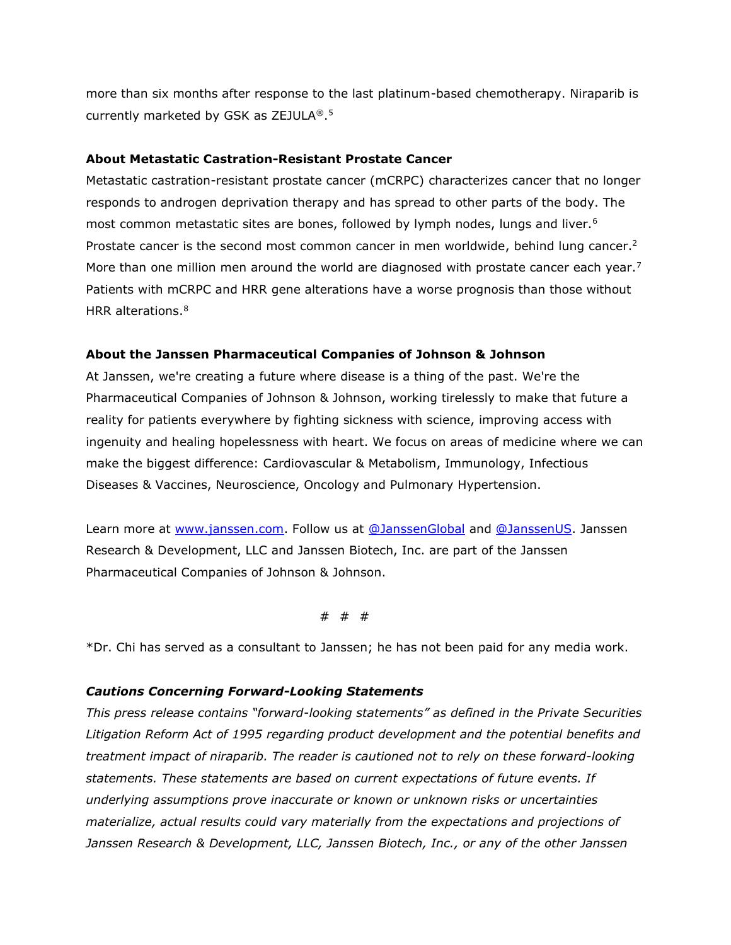more than six months after response to the last platinum-based chemotherapy. Niraparib is currently marketed by GSK as ZEJULA®. 5

### **About Metastatic Castration-Resistant Prostate Cancer**

Metastatic castration-resistant prostate cancer (mCRPC) characterizes cancer that no longer responds to androgen deprivation therapy and has spread to other parts of the body. The most common metastatic sites are bones, followed by lymph nodes, lungs and liver.<sup>6</sup> Prostate cancer is the second most common cancer in men worldwide, behind lung cancer.<sup>2</sup> More than one million men around the world are diagnosed with prostate cancer each year.<sup>7</sup> Patients with mCRPC and HRR gene alterations have a worse prognosis than those without HRR alterations.<sup>8</sup>

### **About the Janssen Pharmaceutical Companies of Johnson & Johnson**

At Janssen, we're creating a future where disease is a thing of the past. We're the Pharmaceutical Companies of Johnson & Johnson, working tirelessly to make that future a reality for patients everywhere by fighting sickness with science, improving access with ingenuity and healing hopelessness with heart. We focus on areas of medicine where we can make the biggest difference: Cardiovascular & Metabolism, Immunology, Infectious Diseases & Vaccines, Neuroscience, Oncology and Pulmonary Hypertension.

Learn more at [www.janssen.com.](https://djeholdingsdrive.sharepoint.com/sites/JanssenGlobal/Shared%20Documents/Onc%20-%20Solid/AUA%20ESMO%20WCLC%202021/ESMO%20CR/www.janssen.com) Follow us at [@JanssenGlobal](https://twitter.com/JanssenGlobal) and [@JanssenUS.](https://twitter.com/JanssenUS?ref_src=twsrc%5Egoogle%7Ctwcamp%5Eserp%7Ctwgr%5Eauthor) Janssen Research & Development, LLC and Janssen Biotech, Inc. are part of the Janssen Pharmaceutical Companies of Johnson & Johnson.

# # #

\*Dr. Chi has served as a consultant to Janssen; he has not been paid for any media work.

#### *Cautions Concerning Forward-Looking Statements*

*This press release contains "forward-looking statements" as defined in the Private Securities Litigation Reform Act of 1995 regarding product development and the potential benefits and treatment impact of niraparib. The reader is cautioned not to rely on these forward-looking statements. These statements are based on current expectations of future events. If underlying assumptions prove inaccurate or known or unknown risks or uncertainties materialize, actual results could vary materially from the expectations and projections of Janssen Research & Development, LLC, Janssen Biotech, Inc., or any of the other Janssen*